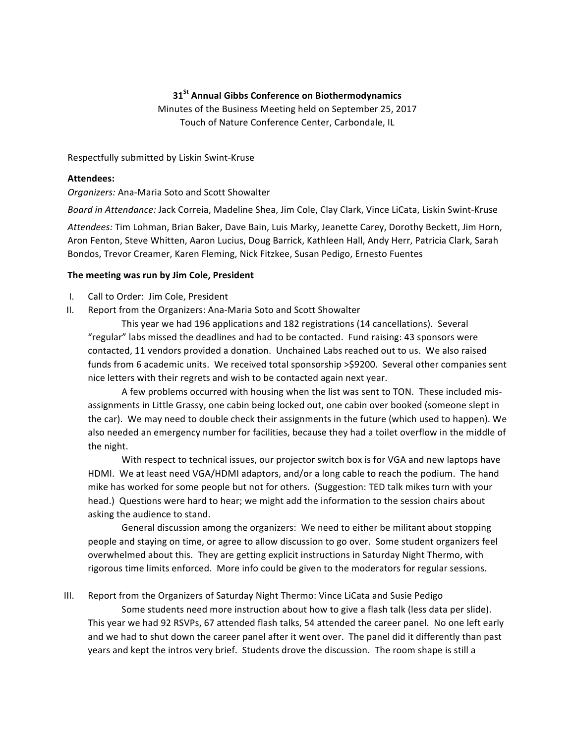## **31St Annual Gibbs Conference on Biothermodynamics**

Minutes of the Business Meeting held on September 25, 2017 Touch of Nature Conference Center, Carbondale, IL

Respectfully submitted by Liskin Swint-Kruse

### **Attendees:**

*Organizers:* Ana-Maria Soto and Scott Showalter

*Board in Attendance: Jack Correia, Madeline Shea, Jim Cole, Clay Clark, Vince LiCata, Liskin Swint-Kruse* 

Attendees: Tim Lohman, Brian Baker, Dave Bain, Luis Marky, Jeanette Carey, Dorothy Beckett, Jim Horn, Aron Fenton, Steve Whitten, Aaron Lucius, Doug Barrick, Kathleen Hall, Andy Herr, Patricia Clark, Sarah Bondos, Trevor Creamer, Karen Fleming, Nick Fitzkee, Susan Pedigo, Ernesto Fuentes

### The meeting was run by Jim Cole, President

- I. Call to Order: Jim Cole, President
- II. Report from the Organizers: Ana-Maria Soto and Scott Showalter

This year we had 196 applications and 182 registrations (14 cancellations). Several "regular" labs missed the deadlines and had to be contacted. Fund raising: 43 sponsors were contacted, 11 vendors provided a donation. Unchained Labs reached out to us. We also raised funds from 6 academic units. We received total sponsorship >\$9200. Several other companies sent nice letters with their regrets and wish to be contacted again next year.

A few problems occurred with housing when the list was sent to TON. These included misassignments in Little Grassy, one cabin being locked out, one cabin over booked (someone slept in the car). We may need to double check their assignments in the future (which used to happen). We also needed an emergency number for facilities, because they had a toilet overflow in the middle of the night.

With respect to technical issues, our projector switch box is for VGA and new laptops have HDMI. We at least need VGA/HDMI adaptors, and/or a long cable to reach the podium. The hand mike has worked for some people but not for others. (Suggestion: TED talk mikes turn with your head.) Questions were hard to hear; we might add the information to the session chairs about asking the audience to stand.

General discussion among the organizers: We need to either be militant about stopping people and staying on time, or agree to allow discussion to go over. Some student organizers feel overwhelmed about this. They are getting explicit instructions in Saturday Night Thermo, with rigorous time limits enforced. More info could be given to the moderators for regular sessions.

III. Report from the Organizers of Saturday Night Thermo: Vince LiCata and Susie Pedigo

Some students need more instruction about how to give a flash talk (less data per slide). This year we had 92 RSVPs, 67 attended flash talks, 54 attended the career panel. No one left early and we had to shut down the career panel after it went over. The panel did it differently than past years and kept the intros very brief. Students drove the discussion. The room shape is still a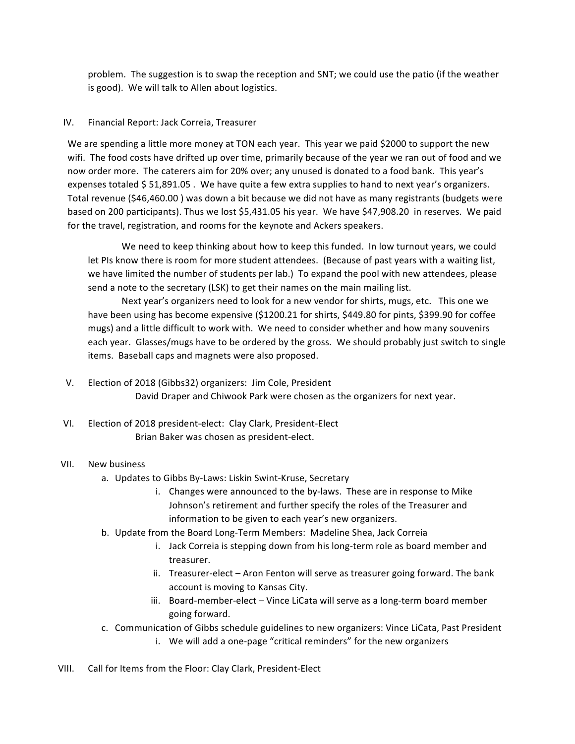problem. The suggestion is to swap the reception and SNT; we could use the patio (if the weather is good). We will talk to Allen about logistics.

# IV. Financial Report: Jack Correia, Treasurer

We are spending a little more money at TON each year. This year we paid \$2000 to support the new wifi. The food costs have drifted up over time, primarily because of the year we ran out of food and we now order more. The caterers aim for 20% over; any unused is donated to a food bank. This year's expenses totaled \$51,891.05. We have quite a few extra supplies to hand to next year's organizers. Total revenue (\$46,460.00) was down a bit because we did not have as many registrants (budgets were based on 200 participants). Thus we lost \$5,431.05 his year. We have \$47,908.20 in reserves. We paid for the travel, registration, and rooms for the keynote and Ackers speakers.

We need to keep thinking about how to keep this funded. In low turnout years, we could let PIs know there is room for more student attendees. (Because of past years with a waiting list, we have limited the number of students per lab.) To expand the pool with new attendees, please send a note to the secretary (LSK) to get their names on the main mailing list.

Next year's organizers need to look for a new vendor for shirts, mugs, etc. This one we have been using has become expensive (\$1200.21 for shirts, \$449.80 for pints, \$399.90 for coffee mugs) and a little difficult to work with. We need to consider whether and how many souvenirs each year. Glasses/mugs have to be ordered by the gross. We should probably just switch to single items. Baseball caps and magnets were also proposed.

- V. Election of 2018 (Gibbs32) organizers: Jim Cole, President David Draper and Chiwook Park were chosen as the organizers for next year.
- VI. Election of 2018 president-elect: Clay Clark, President-Elect Brian Baker was chosen as president-elect.

# VII. New business

- a. Updates to Gibbs By-Laws: Liskin Swint-Kruse, Secretary
	- i. Changes were announced to the by-laws. These are in response to Mike Johnson's retirement and further specify the roles of the Treasurer and information to be given to each year's new organizers.
- b. Update from the Board Long-Term Members: Madeline Shea, Jack Correia
	- i. Jack Correia is stepping down from his long-term role as board member and treasurer.
	- ii. Treasurer-elect Aron Fenton will serve as treasurer going forward. The bank account is moving to Kansas City.
	- iii. Board-member-elect Vince LiCata will serve as a long-term board member going forward.
- c. Communication of Gibbs schedule guidelines to new organizers: Vince LiCata, Past President
	- i. We will add a one-page "critical reminders" for the new organizers
- VIII. Call for Items from the Floor: Clay Clark, President-Elect